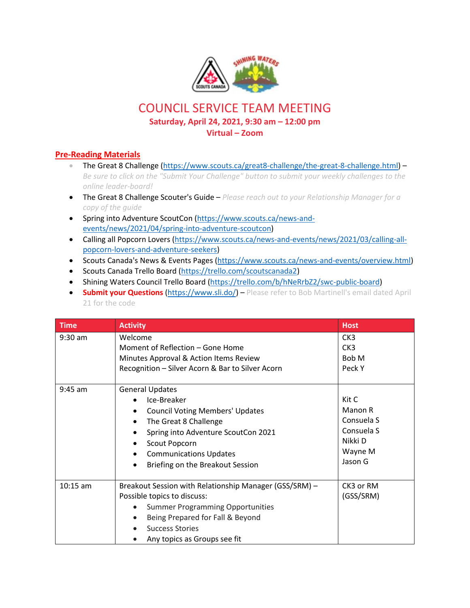

## COUNCIL SERVICE TEAM MEETING **Saturday, April 24, 2021, 9:30 am – 12:00 pm**

## **Virtual – Zoom**

## **Pre-Reading Materials**

- The Great 8 Challenge [\(https://www.scouts.ca/great8-challenge/the-great-8-challenge.html\)](https://www.scouts.ca/great8-challenge/the-great-8-challenge.html) -*Be sure to click on the "Submit Your Challenge" button to submit your weekly challenges to the online leader-board!*
- The Great 8 Challenge Scouter's Guide *Please reach out to your Relationship Manager for a copy of the guide*
- Spring into Adventure ScoutCon [\(https://www.scouts.ca/news-and](https://www.scouts.ca/news-and-events/news/2021/04/spring-into-adventure-scoutcon)[events/news/2021/04/spring-into-adventure-scoutcon\)](https://www.scouts.ca/news-and-events/news/2021/04/spring-into-adventure-scoutcon)
- Calling all Popcorn Lovers [\(https://www.scouts.ca/news-and-events/news/2021/03/calling-all](https://www.scouts.ca/news-and-events/news/2021/03/calling-all-popcorn-lovers-and-adventure-seekers)[popcorn-lovers-and-adventure-seekers\)](https://www.scouts.ca/news-and-events/news/2021/03/calling-all-popcorn-lovers-and-adventure-seekers)
- Scouts Canada's News & Events Pages [\(https://www.scouts.ca/news-and-events/overview.html\)](https://www.scouts.ca/news-and-events/overview.html)
- Scouts Canada Trello Board [\(https://trello.com/scoutscanada2\)](https://trello.com/scoutscanada2)
- Shining Waters Council Trello Board [\(https://trello.com/b/hNeRrbZ2/swc-public-board\)](https://trello.com/b/hNeRrbZ2/swc-public-board)
- **Submit your Questions** [\(https://www.sli.do/\)](https://www.sli.do/) Please refer to Bob Martinell's email dated April 21 for the code

| <b>Time</b> | <b>Activity</b>                                        | <b>Host</b>     |
|-------------|--------------------------------------------------------|-----------------|
| $9:30$ am   | Welcome                                                | CK <sub>3</sub> |
|             | Moment of Reflection – Gone Home                       | CK <sub>3</sub> |
|             | Minutes Approval & Action Items Review                 | Bob M           |
|             | Recognition - Silver Acorn & Bar to Silver Acorn       | Peck Y          |
| $9:45$ am   | <b>General Updates</b>                                 |                 |
|             | Ice-Breaker                                            | Kit C           |
|             | <b>Council Voting Members' Updates</b>                 | Manon R         |
|             | The Great 8 Challenge<br>$\bullet$                     | Consuela S      |
|             | Spring into Adventure ScoutCon 2021                    | Consuela S      |
|             | Scout Popcorn                                          | Nikki D         |
|             | <b>Communications Updates</b>                          | Wayne M         |
|             | Briefing on the Breakout Session<br>$\bullet$          | Jason G         |
|             |                                                        |                 |
| $10:15$ am  | Breakout Session with Relationship Manager (GSS/SRM) - | CK3 or RM       |
|             | Possible topics to discuss:                            | (GSS/SRM)       |
|             | <b>Summer Programming Opportunities</b>                |                 |
|             | Being Prepared for Fall & Beyond                       |                 |
|             | <b>Success Stories</b>                                 |                 |
|             | Any topics as Groups see fit                           |                 |